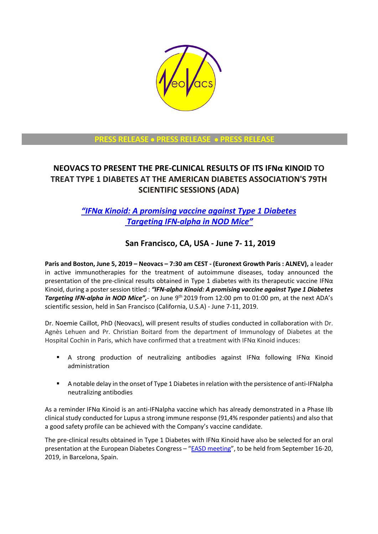

# **PRESS RELEASE** • **PRESS RELEASE** • **PRESS RELEASE**

# **NEOVACS TO PRESENT THE PRE-CLINICAL RESULTS OF ITS IFNα KINOID TO TREAT TYPE 1 DIABETES AT THE AMERICAN DIABETES ASSOCIATION'S 79TH SCIENTIFIC SESSIONS (ADA)**

# *"IFNα [Kinoid: A promising vaccine against Type 1 Diabetes](https://professional.diabetes.org/scientific-sessions) [Targeting IFN-alpha in NOD Mice](https://professional.diabetes.org/scientific-sessions)"*

# **San Francisco, CA, USA - June 7- 11, 2019**

**Paris and Boston, June 5, 2019 – Neovacs – 7:30 am CEST - (Euronext Growth Paris : ALNEV),** a leader in active immunotherapies for the treatment of autoimmune diseases, today announced the presentation of the pre-clinical results obtained in Type 1 diabetes with its therapeutic vaccine IFNα Kinoid, during a poster session titled : *"IFN-alpha Kinoid: A promising vaccine against Type 1 Diabetes Targeting IFN-alpha in NOD Mice"*, on June 9<sup>th</sup> 2019 from 12:00 pm to 01:00 pm, at the next ADA's scientific session, held in San Francisco (California, U.S.A) - June 7-11, 2019.

Dr. Noemie Caillot, PhD (Neovacs), will present results of studies conducted in collaboration with Dr. Agnès Lehuen and Pr. Christian Boitard from the department of Immunology of Diabetes at the Hospital Cochin in Paris, which have confirmed that a treatment with IFNα Kinoid induces:

- A strong production of neutralizing antibodies against IFN $\alpha$  following IFN $\alpha$  Kinoid administration
- A notable delay in the onset of Type 1 Diabetes in relation with the persistence of anti-IFNalpha neutralizing antibodies

As a reminder IFNα Kinoid is an anti-IFNalpha vaccine which has already demonstrated in a Phase IIb clinical study conducted for Lupus a strong immune response (91,4% responder patients) and also that a good safety profile can be achieved with the Company's vaccine candidate.

The pre-clinical results obtained in Type 1 Diabetes with IFNα Kinoid have also be selected for an oral presentation at the European Diabetes Congress - "[EASD meeting](https://www.easd.org/annual-meeting/easd-2019.html)", to be held from September 16-20, 2019, in Barcelona, Spain.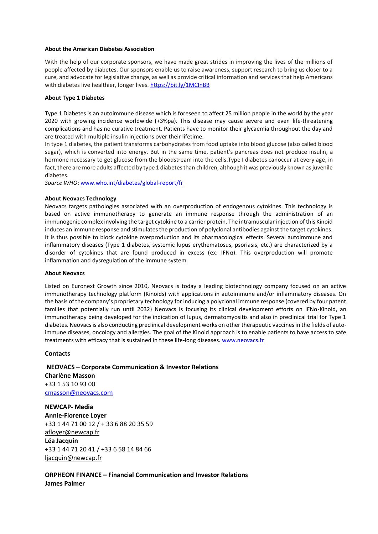#### **About the American Diabetes Association**

With the help of our corporate sponsors, we have made great strides in improving the lives of the millions of people affected by diabetes. Our sponsors enable us to raise awareness, support research to bring us closer to a cure, and advocate for legislative change, as well as provide critical information and services that help Americans with diabetes live healthier, longer lives.<https://bit.ly/1MCInBB>

## **About Type 1 Diabetes**

Type 1 Diabetes is an autoimmune disease which is foreseen to affect 25 million people in the world by the year 2020 with growing incidence worldwide (+3%pa). This disease may cause severe and even life-threatening complications and has no curative treatment. Patients have to monitor their glycaemia throughout the day and are treated with multiple insulin injections over their lifetime.

In type 1 diabetes, the patient transforms carbohydrates from food uptake into blood glucose (also called blood sugar), which is converted into energy. But in the same time, patient's pancreas does not produce insulin, a hormone necessary to get glucose from the bloodstream into the cells.Type I diabetes canoccur at every age, in fact, there are more adults affected by type 1 diabetes than children, although it was previously known as juvenile diabetes.

*Source WHO*: [www.who.int/diabetes/global-report/fr](http://www.who.int/diabetes/global-report/fr)

## **About Neovacs Technology**

Neovacs targets pathologies associated with an overproduction of endogenous cytokines. This technology is based on active immunotherapy to generate an immune response through the administration of an immunogenic complex involving the target cytokine to a carrier protein. The intramuscular injection of this Kinoid induces an immune response and stimulates the production of polyclonal antibodies against the target cytokines. It is thus possible to block cytokine overproduction and its pharmacological effects. Several autoimmune and inflammatory diseases (Type 1 diabetes, systemic lupus erythematosus, psoriasis, etc.) are characterized by a disorder of cytokines that are found produced in excess (ex: IFNα). This overproduction will promote inflammation and dysregulation of the immune system.

## **About Neovacs**

Listed on Euronext Growth since 2010, Neovacs is today a leading biotechnology company focused on an active immunotherapy technology platform (Kinoids) with applications in autoimmune and/or inflammatory diseases. On the basis of the company's proprietary technology for inducing a polyclonal immune response (covered by four patent families that potentially run until 2032) Neovacs is focusing its clinical development efforts on IFNα-Kinoid, an immunotherapy being developed for the indication of lupus, dermatomyositis and also in preclinical trial for Type 1 diabetes. Neovacs is also conducting preclinical development works on other therapeutic vaccines in the fields of autoimmune diseases, oncology and allergies. The goal of the Kinoid approach is to enable patients to have access to safe treatments with efficacy that is sustained in these life-long diseases. [www.neovacs.fr](http://www.neovacs.fr/)

## **Contacts**

**NEOVACS – Corporate Communication & Investor Relations Charlène Masson** +33 1 53 10 93 00 [cmasson@neovacs.com](mailto:ntrepo@neovacs.com) **NEWCAP- Media** 

**Annie-Florence Loyer**  +33 1 44 71 00 12 / + 33 6 88 20 35 59 [afloyer@newcap.fr](mailto:afloyer@newcap.fr) **Léa Jacquin**  +33 1 44 71 20 41 / +33 6 58 14 84 66 [ljacquin@newcap.fr](mailto:ljacquin@newcap.fr)

**ORPHEON FINANCE – Financial Communication and Investor Relations James Palmer**